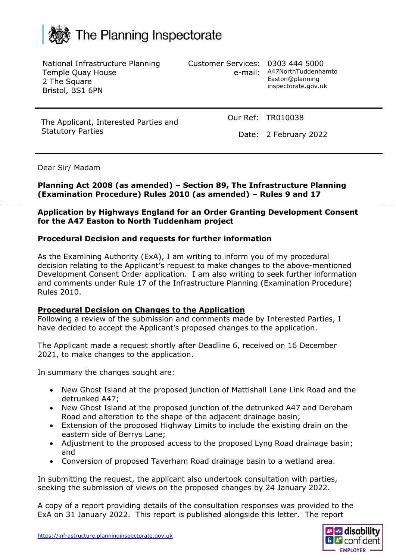# The Planning Inspectorate

National Infrastructure Planning Temple Quay House 2 The Square Bristol, BS1 6PN

Customer Services: 0303 444 5000

e-mail: A47NorthTuddenhamto Easton@planning inspectorate.gov.uk

The Applicant, Interested Parties and Statutory Parties

Our Ref: TR010038

Date: 2 February 2022

#### Dear Sir/ Madam

#### **Planning Act 2008 (as amended) – Section 89, The Infrastructure Planning (Examination Procedure) Rules 2010 (as amended) – Rules 9 and 17**

#### **Application by Highways England for an Order Granting Development Consent for the A47 Easton to North Tuddenham project**

#### **Procedural Decision and requests for further information**

As the Examining Authority (ExA), I am writing to inform you of my procedural decision relating to the Applicant's request to make changes to the above-mentioned Development Consent Order application. I am also writing to seek further information and comments under Rule 17 of the Infrastructure Planning (Examination Procedure) Rules 2010.

#### **Procedural Decision on Changes to the Application**

Following a review of the submission and comments made by Interested Parties, I have decided to accept the Applicant's proposed changes to the application.

The Applicant made a request shortly after Deadline 6, received on 16 December 2021, to make changes to the application.

In summary the changes sought are:

- New Ghost Island at the proposed junction of Mattishall Lane Link Road and the detrunked A47;
- New Ghost Island at the proposed junction of the detrunked A47 and Dereham Road and alteration to the shape of the adjacent drainage basin;
- Extension of the proposed Highway Limits to include the existing drain on the eastern side of Berrys Lane;
- Adjustment to the proposed access to the proposed Lyng Road drainage basin; and
- Conversion of proposed Taverham Road drainage basin to a wetland area.

In submitting the request, the applicant also undertook consultation with parties, seeking the submission of views on the proposed changes by 24 January 2022.

A copy of a report providing details of the consultation responses was provided to the ExA on 31 January 2022. This report is published alongside this letter. The report

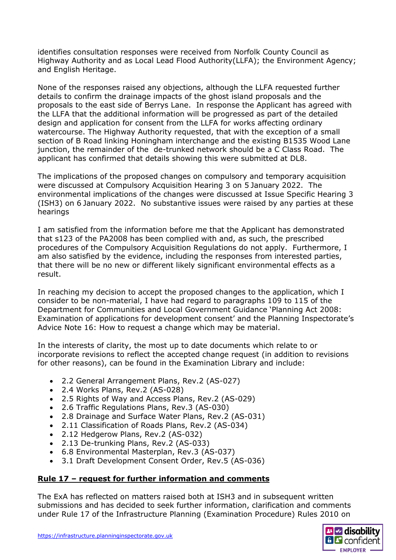identifies consultation responses were received from Norfolk County Council as Highway Authority and as Local Lead Flood Authority(LLFA); the Environment Agency; and English Heritage.

None of the responses raised any objections, although the LLFA requested further details to confirm the drainage impacts of the ghost island proposals and the proposals to the east side of Berrys Lane. In response the Applicant has agreed with the LLFA that the additional information will be progressed as part of the detailed design and application for consent from the LLFA for works affecting ordinary watercourse. The Highway Authority requested, that with the exception of a small section of B Road linking Honingham interchange and the existing B1535 Wood Lane junction, the remainder of the de-trunked network should be a C Class Road. The applicant has confirmed that details showing this were submitted at DL8.

The implications of the proposed changes on compulsory and temporary acquisition were discussed at Compulsory Acquisition Hearing 3 on 5 January 2022. The environmental implications of the changes were discussed at Issue Specific Hearing 3 (ISH3) on 6 January 2022. No substantive issues were raised by any parties at these hearings

I am satisfied from the information before me that the Applicant has demonstrated that s123 of the PA2008 has been complied with and, as such, the prescribed procedures of the Compulsory Acquisition Regulations do not apply. Furthermore, I am also satisfied by the evidence, including the responses from interested parties, that there will be no new or different likely significant environmental effects as a result.

In reaching my decision to accept the proposed changes to the application, which I consider to be non-material, I have had regard to paragraphs 109 to 115 of the Department for Communities and Local Government Guidance 'Planning Act 2008: Examination of applications for development consent' and the Planning Inspectorate's Advice Note 16: How to request a change which may be material.

In the interests of clarity, the most up to date documents which relate to or incorporate revisions to reflect the accepted change request (in addition to revisions for other reasons), can be found in the Examination Library and include:

- 2.2 General Arrangement Plans, Rev.2 (AS-027)
- 2.4 Works Plans, Rev.2 (AS-028)
- 2.5 Rights of Way and Access Plans, Rev.2 (AS-029)
- 2.6 Traffic Regulations Plans, Rev.3 (AS-030)
- 2.8 Drainage and Surface Water Plans, Rev.2 (AS-031)
- 2.11 Classification of Roads Plans, Rev.2 (AS-034)
- 2.12 Hedgerow Plans, Rev.2 (AS-032)
- 2.13 De-trunking Plans, Rev.2 (AS-033)
- 6.8 Environmental Masterplan, Rev.3 (AS-037)
- 3.1 Draft Development Consent Order, Rev.5 (AS-036)

### **Rule 17 – request for further information and comments**

The ExA has reflected on matters raised both at ISH3 and in subsequent written submissions and has decided to seek further information, clarification and comments under Rule 17 of the Infrastructure Planning (Examination Procedure) Rules 2010 on